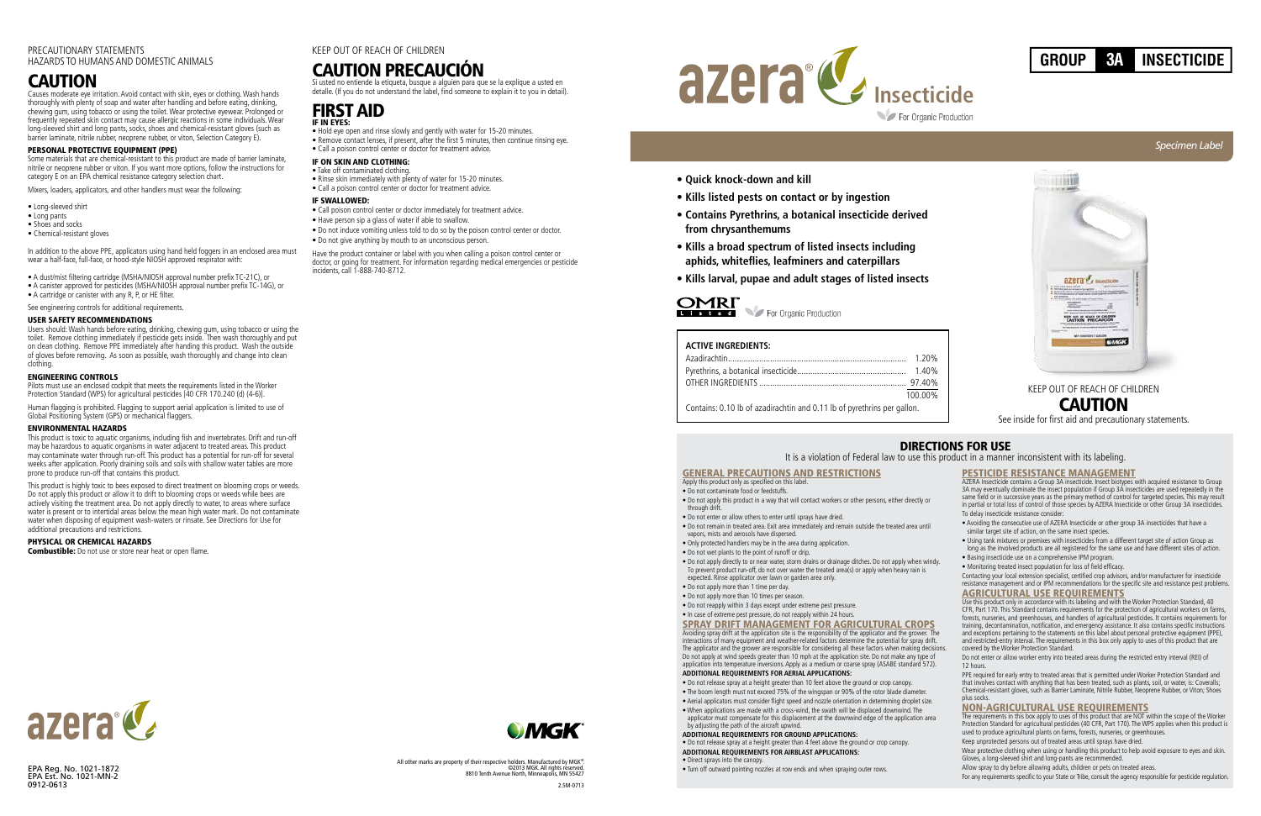*Specimen Label*

- **Quick knock-down and kill**
- **Kills listed pests on contact or by ingestion**
- **Contains Pyrethrins, a botanical insecticide derived from chrysanthemums**
- **Kills a broad spectrum of listed insects including aphids, whiteflies, leafminers and caterpillars**
- **Kills larval, pupae and adult stages of listed insects**

### OMRI L is ted

For Organic Production



## DIRECTIONS FOR USE

It is a violation of Federal law to use this product in a manner inconsistent with its labeling.

GENERAL PRECAUTIONS AND RESTRICTIONS Apply this product only as specified on this label.

### • Do not contaminate food or feedstuffs.

- Do not release spray at a height greater than 10 feet above the ground or crop canopy.
- The boom length must not exceed 75% of the wingspan or 90% of the rotor blade diameter.
- Aerial applicators must consider flight speed and nozzle orientation in determining droplet size.
- When applications are made with a cross-wind, the swath will be displaced downwind. The
- applicator must compensate for this displacement at the downwind edge of the application area by adjusting the path of the aircraft upwind.
- Do not apply this product in a way that will contact workers or other persons, either directly or
- through drift.
- Do not enter or allow others to enter until sprays have dried.
- Do not remain in treated area. Exit area immediately and remain outside the treated area until vapors, mists and aerosols have dispersed.
- Only protected handlers may be in the area during application.
- Do not wet plants to the point of runoff or drip.
- Do not apply directly to or near water, storm drains or drainage ditches. Do not apply when wind To prevent product run-off, do not over water the treated area(s) or apply when heavy rain is expected. Rinse applicator over lawn or garden area only.
- Do not apply more than 1 time per day.
- Do not apply more than 10 times per season.
- Do not reapply within 3 days except under extreme pest pressure.
- In case of extreme pest pressure, do not reapply within 24 hours.

SPRAY DRIFT MANAGEMENT FOR AGRICULTURAL CROPS Avoiding spray drift at the application site is the responsibility of the applicator and the grower. interactions of many equipment and weather-related factors determine the potential for spray drift. The applicator and the grower are responsible for considering all these factors when making decisions.<br>Do not apply at wind speeds greater than 10 mph at the application site. Do not make any type of<br>application into tempe **ADDITIONAL REQUIREMENTS FOR AERIAL APPLICATIONS:**

### **ADDITIONAL REQUIREMENTS FOR GROUND APPLICATIONS:**

• Do not release spray at a height greater than 4 feet above the ground or crop canopy. **ADDITIONAL REQUIREMENTS FOR AIRBLAST APPLICATIONS:**

### • Direct sprays into the canopy.

• Turn off outward pointing nozzles at row ends and when spraying outer rows.

|                    | <b>PESTICIDE RESISTANCE MANAGEMENT</b>                                                                                                                                                                                                                                                                                                                                                                                                                                                                                                                                                                                                                                                                   |
|--------------------|----------------------------------------------------------------------------------------------------------------------------------------------------------------------------------------------------------------------------------------------------------------------------------------------------------------------------------------------------------------------------------------------------------------------------------------------------------------------------------------------------------------------------------------------------------------------------------------------------------------------------------------------------------------------------------------------------------|
|                    | AZERA Insecticide contains a Group 3A insecticide. Insect biotypes with acquired resistance to Group<br>3A may eventually dominate the insect population if Group 3A insecticides are used repeatedly in the<br>same field or in successive years as the primary method of control for targeted species. This may result<br>in partial or total loss of control of those species by AZERA Insecticide or other Group 3A insecticides.                                                                                                                                                                                                                                                                    |
|                    | To delay insecticide resistance consider:                                                                                                                                                                                                                                                                                                                                                                                                                                                                                                                                                                                                                                                                |
|                    | . Avoiding the consecutive use of AZERA Insecticide or other group 3A insecticides that have a<br>similar target site of action, on the same insect species.                                                                                                                                                                                                                                                                                                                                                                                                                                                                                                                                             |
|                    | . Using tank mixtures or premixes with insecticides from a different target site of action Group as<br>long as the involved products are all registered for the same use and have different sites of action.                                                                                                                                                                                                                                                                                                                                                                                                                                                                                             |
| dv.                | · Basing insecticide use on a comprehensive IPM program.                                                                                                                                                                                                                                                                                                                                                                                                                                                                                                                                                                                                                                                 |
|                    | • Monitoring treated insect population for loss of field efficacy.                                                                                                                                                                                                                                                                                                                                                                                                                                                                                                                                                                                                                                       |
|                    | Contacting your local extension specialist, certified crop advisors, and/or manufacturer for insecticide<br>resistance management and or IPM recommendations for the specific site and resistance pest problems.                                                                                                                                                                                                                                                                                                                                                                                                                                                                                         |
|                    | <b>AGRICULTURAL USE REOUIREMENTS</b>                                                                                                                                                                                                                                                                                                                                                                                                                                                                                                                                                                                                                                                                     |
| he<br>t.<br>sions. | Use this product only in accordance with its labeling and with the Worker Protection Standard, 40<br>CFR, Part 170. This Standard contains requirements for the protection of agricultural workers on farms,<br>forests, nurseries, and greenhouses, and handlers of agricultural pesticides. It contains requirements for<br>training, decontamination, notification, and emergency assistance. It also contains specific instructions<br>and exceptions pertaining to the statements on this label about personal protective equipment (PPE),<br>and restricted-entry interval. The requirements in this box only apply to uses of this product that are<br>covered by the Worker Protection Standard. |
|                    | Do not enter or allow worker entry into treated areas during the restricted entry interval (REI) of<br>12 hours.                                                                                                                                                                                                                                                                                                                                                                                                                                                                                                                                                                                         |
|                    | PPE required for early entry to treated areas that is permitted under Worker Protection Standard and<br>that involves contact with anything that has been treated, such as plants, soil, or water, is: Coveralls;<br>Chemical-resistant gloves, such as Barrier Laminate, Nitrile Rubber, Neoprene Rubber, or Viton; Shoes<br>plus socks.                                                                                                                                                                                                                                                                                                                                                                |
|                    | NON-AGRICULTURAL USE REQUIREMENTS                                                                                                                                                                                                                                                                                                                                                                                                                                                                                                                                                                                                                                                                        |
| a                  | The requirements in this box apply to uses of this product that are NOT within the scope of the Worker<br>Protection Standard for agricultural pesticides (40 CFR, Part 170). The WPS applies when this product is<br>used to produce agricultural plants on farms, forests, nurseries, or greenhouses.                                                                                                                                                                                                                                                                                                                                                                                                  |
|                    | Keep unprotected persons out of treated areas until sprays have dried.                                                                                                                                                                                                                                                                                                                                                                                                                                                                                                                                                                                                                                   |
|                    | Wear protective clothing when using or handling this product to help avoid exposure to eyes and skin.<br>Gloves, a long-sleeved shirt and long-pants are recommended.                                                                                                                                                                                                                                                                                                                                                                                                                                                                                                                                    |
|                    | Allow spray to dry before allowing adults, children or pets on treated areas.                                                                                                                                                                                                                                                                                                                                                                                                                                                                                                                                                                                                                            |

For any requirements specific to your State or Tribe, consult the agency responsible for pesticide regulation.







EPA Reg. No. 1021-1872 EPA Est. No. 1021-MN-2 0912-0613

| <b>ACTIVE INGREDIENTS:</b>                                              |         |
|-------------------------------------------------------------------------|---------|
|                                                                         |         |
|                                                                         |         |
|                                                                         |         |
|                                                                         | 100.00% |
| Contains: 0.10 lb of azadirachtin and 0.11 lb of pyrethrins per gallon. |         |

### PRECAUTIONARY STATEMENTS HAZARDS TO HUMANS AND DOMESTIC ANIMALS

## **CAUTION**

Causes moderate eye irritation. Avoid contact with skin, eyes or clothing. Wash hands thoroughly with plenty of soap and water after handling and before eating, drinking, chewing gum, using tobacco or using the toilet. Wear protective eyewear. Prolonged or frequently repeated skin contact may cause allergic reactions in some individuals. Wear long-sleeved shirt and long pants, socks, shoes and chemical-resistant gloves (such as barrier laminate, nitrile rubber, neoprene rubber, or viton, Selection Category E).

### PERSONAL PROTECTIVE EQUIPMENT (PPE)

Some materials that are chemical-resistant to this product are made of barrier laminate, nitrile or neoprene rubber or viton. If you want more options, follow the instructions for category E on an EPA chemical resistance category selection chart.

Mixers, loaders, applicators, and other handlers must wear the following:

- Long-sleeved shirt
- Long pants
- Shoes and socks
- Chemical-resistant gloves

In addition to the above PPE, applicators using hand held foggers in an enclosed area must wear a half-face, full-face, or hood-style NIOSH approved respirator with:

- A dust/mist filtering cartridge (MSHA/NIOSH approval number prefix TC-21C), or
- A canister approved for pesticides (MSHA/NIOSH approval number prefix TC-14G), or • A cartridge or canister with any R, P, or HE filter.

See engineering controls for additional requirements.

### USER SAFETY RECOMMENDATIONS

Users should: Wash hands before eating, drinking, chewing gum, using tobacco or using the toilet. Remove clothing immediately if pesticide gets inside. Then wash thoroughly and put on clean clothing. Remove PPE immediately after handing this product. Wash the outside of gloves before removing. As soon as possible, wash thoroughly and change into clean clothing.

### ENGINEERING CONTROLS

Pilots must use an enclosed cockpit that meets the requirements listed in the Worker Protection Standard (WPS) for agricultural pesticides [40 CFR 170.240 (d) (4-6)].

Human flagging is prohibited. Flagging to support aerial application is limited to use of Global Positioning System (GPS) or mechanical flaggers.

### ENVIRONMENTAL HAZARDS

This product is toxic to aquatic organisms, including fish and invertebrates. Drift and run-off may be hazardous to aquatic organisms in water adjacent to treated areas. This product may contaminate water through run-off. This product has a potential for run-off for several weeks after application. Poorly draining soils and soils with shallow water tables are more prone to produce run-off that contains this product.

This product is highly toxic to bees exposed to direct treatment on blooming crops or weeds. Do not apply this product or allow it to drift to blooming crops or weeds while bees are actively visiting the treatment area. Do not apply directly to water, to areas where surface water is present or to intertidal areas below the mean high water mark. Do not contaminate water when disposing of equipment wash-waters or rinsate. See Directions for Use for additional precautions and restrictions.

### PHYSICAL OR CHEMICAL HAZARDS

**Combustible:** Do not use or store near heat or open flame.

### KEEP OUT OF REACH OF CHILDREN

## CAUTION PRECAUCIÓN

Si usted no entiende la etiqueta, busque a alguien para que se la explique a usted en detalle. (If you do not understand the label, find someone to explain it to you in detail).

### FIRST AID IF IN EYES:

- Hold eye open and rinse slowly and gently with water for 15-20 minutes.
- Remove contact lenses, if present, after the first 5 minutes, then continue rinsing eye.
- Call a poison control center or doctor for treatment advice.

### IF ON SKIN AND CLOTHING:

- Take off contaminated clothing.
- Rinse skin immediately with plenty of water for 15-20 minutes. • Call a poison control center or doctor for treatment advice.

### IF SWALLOWED:

- Call poison control center or doctor immediately for treatment advice.
- Have person sip a glass of water if able to swallow.
- Do not induce vomiting unless told to do so by the poison control center or doctor.
- Do not give anything by mouth to an unconscious person.

Have the product container or label with you when calling a poison control center or doctor, or going for treatment. For information regarding medical emergencies or pesticide incidents, call 1-888-740-8712.



# **GROUP 3A INSECTICIDE**